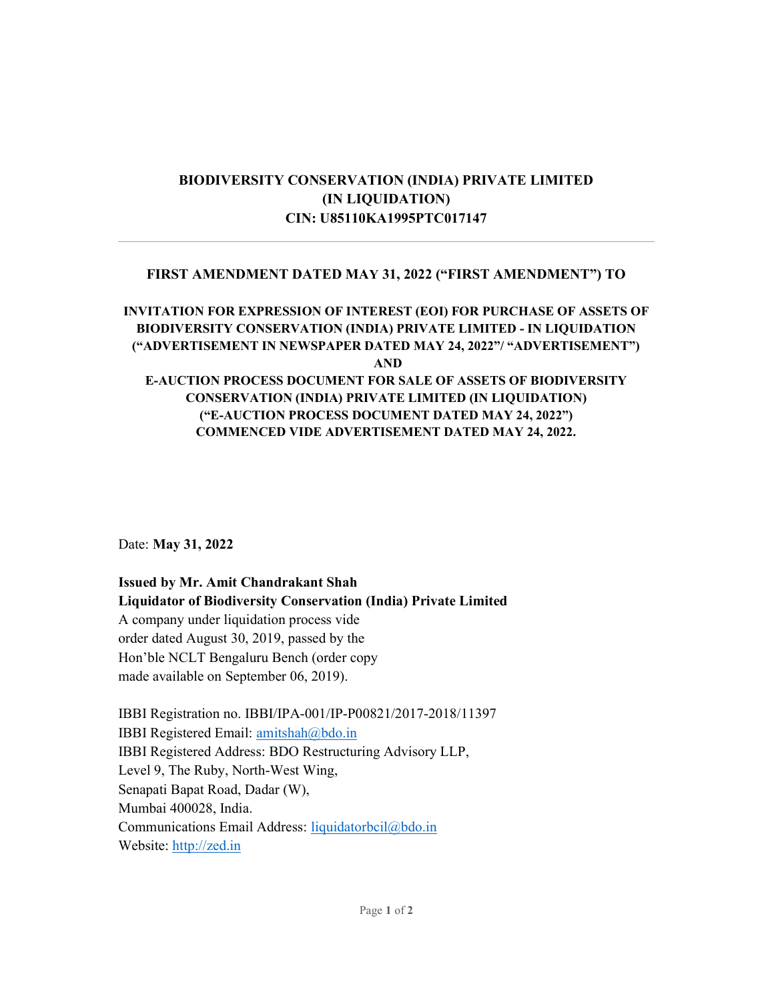# BIODIVERSITY CONSERVATION (INDIA) PRIVATE LIMITED (IN LIQUIDATION) CIN: U85110KA1995PTC017147

## FIRST AMENDMENT DATED MAY 31, 2022 ("FIRST AMENDMENT") TO

# INVITATION FOR EXPRESSION OF INTEREST (EOI) FOR PURCHASE OF ASSETS OF BIODIVERSITY CONSERVATION (INDIA) PRIVATE LIMITED - IN LIQUIDATION ("ADVERTISEMENT IN NEWSPAPER DATED MAY 24, 2022"/ "ADVERTISEMENT") AND

### E-AUCTION PROCESS DOCUMENT FOR SALE OF ASSETS OF BIODIVERSITY CONSERVATION (INDIA) PRIVATE LIMITED (IN LIQUIDATION) ("E-AUCTION PROCESS DOCUMENT DATED MAY 24, 2022") COMMENCED VIDE ADVERTISEMENT DATED MAY 24, 2022.

Date: May 31, 2022

Issued by Mr. Amit Chandrakant Shah Liquidator of Biodiversity Conservation (India) Private Limited A company under liquidation process vide order dated August 30, 2019, passed by the Hon'ble NCLT Bengaluru Bench (order copy made available on September 06, 2019).

IBBI Registration no. IBBI/IPA-001/IP-P00821/2017-2018/11397 IBBI Registered Email: amitshah@bdo.in IBBI Registered Address: BDO Restructuring Advisory LLP, Level 9, The Ruby, North-West Wing, Senapati Bapat Road, Dadar (W), Mumbai 400028, India. Communications Email Address: liquidatorbcil@bdo.in Website: http://zed.in